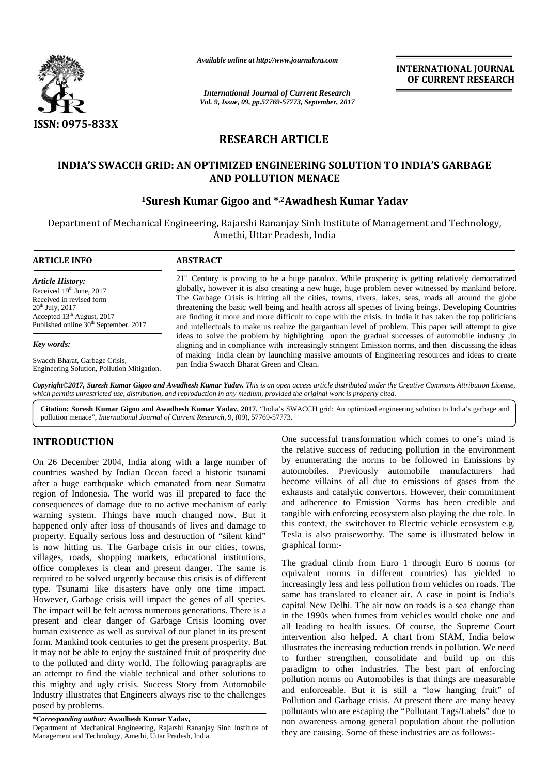

*Available online at http://www.journalcra.com athttp://www.journalcra.com*

**INTERNATIONAL JOURNAL OF CURRENT RESEARCH**

# **RESEARCH ARTICLE**

## INDIA'S SWACCH GRID: AN OPTIMIZED ENGINEERING SOLUTION TO INDIA'S GARBAGE **AND POLLUTION MENACE**

## **<sup>1</sup>Suresh Kumar Gigoo and \* ,2Awadhesh Kumar Yadav 1**

|                                                                                                                       | <b>INTERNATIONAL JOURNAL</b><br>OF CURRENT RESEARCH<br><b>International Journal of Current Research</b><br>Vol. 9, Issue, 09, pp.57769-57773, September, 2017                                                                                                                                                               |
|-----------------------------------------------------------------------------------------------------------------------|-----------------------------------------------------------------------------------------------------------------------------------------------------------------------------------------------------------------------------------------------------------------------------------------------------------------------------|
| ISSN: 0975-833X                                                                                                       | <b>RESEARCH ARTICLE</b>                                                                                                                                                                                                                                                                                                     |
|                                                                                                                       | INDIA'S SWACCH GRID: AN OPTIMIZED ENGINEERING SOLUTION TO INDIA'S GARBAGE<br><b>AND POLLUTION MENACE</b>                                                                                                                                                                                                                    |
|                                                                                                                       | <sup>1</sup> Suresh Kumar Gigoo and *,2Awadhesh Kumar Yadav                                                                                                                                                                                                                                                                 |
|                                                                                                                       | Department of Mechanical Engineering, Rajarshi Rananjay Sinh Institute of Management and Technology,<br>Amethi, Uttar Pradesh, India                                                                                                                                                                                        |
| <b>ARTICLE INFO</b>                                                                                                   | <b>ABSTRACT</b>                                                                                                                                                                                                                                                                                                             |
| <b>Article History:</b><br>Received $19th$ June, 2017<br>Received in revised form                                     | 21 <sup>st</sup> Century is proving to be a huge paradox. While prosperity is getting relatively democratized<br>globally, however it is also creating a new huge, huge problem never witnessed by mankind before.<br>The Garbage Crisis is hitting all the cities, towns, rivers, lakes, seas, roads all around the globe  |
| $20^{th}$ July, $2017$<br>Accepted 13 <sup>th</sup> August, 2017<br>Published online 30 <sup>th</sup> September, 2017 | threatening the basic well being and health across all species of living beings. Developing Countries<br>are finding it more and more difficult to cope with the crisis. In India it has taken the top politicians<br>and intellectuals to make us realize the gargantuan level of problem. This paper will attempt to give |

**Copyright©2017, Suresh Kumar Gigoo and Awadhesh Kumar Yadav.** This is an open access article distributed under the Creative Commons Attribution License,<br>which permits unrestricted use, distribution, and reproduction in an which permits unrestricted use, distribution, and reproduction in any medium, provided the original work is properly cited.

**Citation: Suresh Kumar Gigoo and Awadhesh Kumar Yadav, 2017.** "India's SWACCH grid: An optimized engineering solution to India's garbage and pollution menace", *International Journal of Current Research*, 9, (09), 57769-57773. *International Journal* 

# **INTRODUCTION INTRODUCTION**

Engineering Solution, Pollution Mitigation.

On 26 December 2004, India along with a large number of On 26 December 2004, India along with a large number of the countries washed by Indian Ocean faced a historic tsunami after a huge earthquake which emanated from near Sumatra bec region of Indonesia. The world was ill prepared to face the consequences of damage due to no active mechanism of early and region of Indonesia. The world was ill prepared to face the consequences of damage due to no active mechanism of early  $\epsilon$  warning system. Things have much changed now. But it happened only after loss of thousands of lives and damage to property. Equally serious loss and destruction of "silent kind" happened only after loss of thousands of lives and damage to<br>property. Equally serious loss and destruction of "silent kind"<br>is now hitting us. The Garbage crisis in our cities, towns, villages, roads, shopping markets, educational institutions, office complexes is clear and present danger. The same is required to be solved urgently because this crisis is of different type. Tsunami like disasters have only one time impact. However, Garbage crisis will impact the genes of all species. The impact will be felt across numerous generations. There is a present and clear danger of Garbage Crisis looming over human existence as well as survival of our planet in its present form. Mankind took centuries to get the present prosperity. But it may not be able to enjoy the sustained fruit of prosperity due to the polluted and dirty world. The following paragraphs are an attempt to find the viable technical and other solutions to this mighty and ugly crisis. Success Story from Automobile Industry illustrates that Engineers always rise to the challenges posed by problems. office complexes is clear and present danger. The required to be solved urgently because this crisis is of type. Tsunami like disasters have only one time However, Garbage crisis will impact the genes of all The impact wil **INTRODUCTION**<br>
(he accesses of reducing space on the environmental of the charge number of the relative success of reducing pollution in the environment<br>
(on 26 Docember's 2004, India along with a large number of the rela

\**Corresponding author:* **Awadhesh Kumar Yadav,** \* **Awadhesh** 

Department of Mechanical Engineering, Rajarshi Rananjay Sinh Institute of Management and Technology, Amethi, Uttar Pradesh, India.

One successful transformation which comes to one's mind is the relative success of reducing pollution in the environment by enumerating the norms to be followed in Emissions by automobiles. Previously automobile manufacturers had become villains of all due to emissions of gases from the exhausts and catalytic convertors. However, their commitment and adherence to Emission Norms has been credible and tangible with enforcing ecosystem also playing the due role. In this context, the switchover to Electric vehicle ecosystem e.g. Tesla is also praiseworthy. The same is illustrated below in graphical form:-

The gradual climb from Euro 1 through Euro 6 norms (or equivalent norms in different countries) has yielded to increasingly less and less pollution from vehicles on roads. The same has translated to cleaner air. A case in point is India's capital New Delhi. The air now on roads is a sea change than capital New Delhi. The air now on roads is a sea change than<br>in the 1990s when fumes from vehicles would choke one and all leading to health issues. Of course, the Supreme Court intervention also helped. A chart from SIAM, India below illustrates the increasing reduction trends in pollution. We need to further strengthen, consolidate and build up on this paradigm to other industries. The best part of enforcing pollution norms on Automobiles is that things are measurable and enforceable. But it is still a "low hanging fruit" of Pollution and Garbage crisis. At present there are many heavy pollutants who are escaping the "Pollutant Tags/Labels" due to non awareness among general population about the pollution they are causing. Some of these industries are as follows:-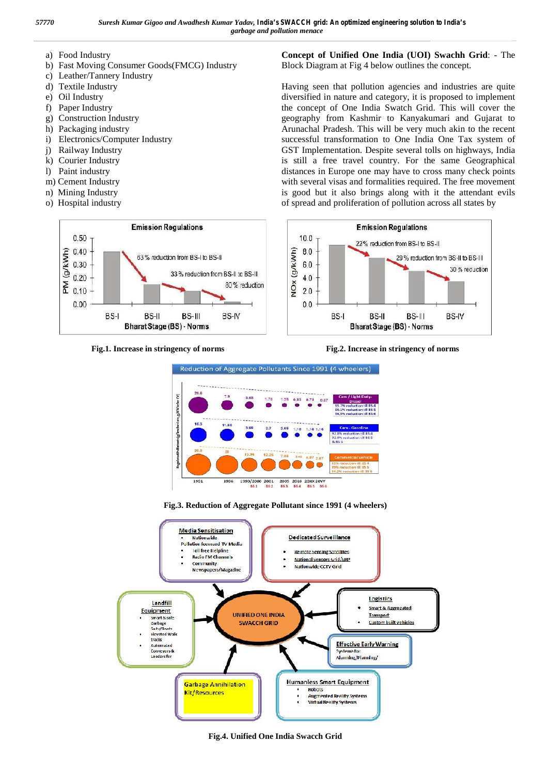- a) Food Industry
- b) Fast Moving Consumer Goods(FMCG) Industry
- c) Leather/Tannery Industry
- d) Textile Industry
- e) Oil Industry
- f) Paper Industry
- g) Construction Industry
- h) Packaging industry
- i) Electronics/Computer Industry
- j) Railway Industry
- k) Courier Industry
- l) Paint industry
- m) Cement Industry
- n) Mining Industry
- o) Hospital industry



**Concept of Unified One India (UOI) Swachh Grid**: - The Block Diagram at Fig 4 below outlines the concept.

Having seen that pollution agencies and industries are quite diversified in nature and category, it is proposed to implement the concept of One India Swatch Grid. This will cover the geography from Kashmir to Kanyakumari and Gujarat to Arunachal Pradesh. This will be very much akin to the recent successful transformation to One India One Tax system of GST Implementation. Despite several tolls on highways, India is still a free travel country. For the same Geographical distances in Europe one may have to cross many check points with several visas and formalities required. The free movement is good but it also brings along with it the attendant evils of spread and proliferation of pollution across all states by











**Fig.4. Unified One India Swacch Grid**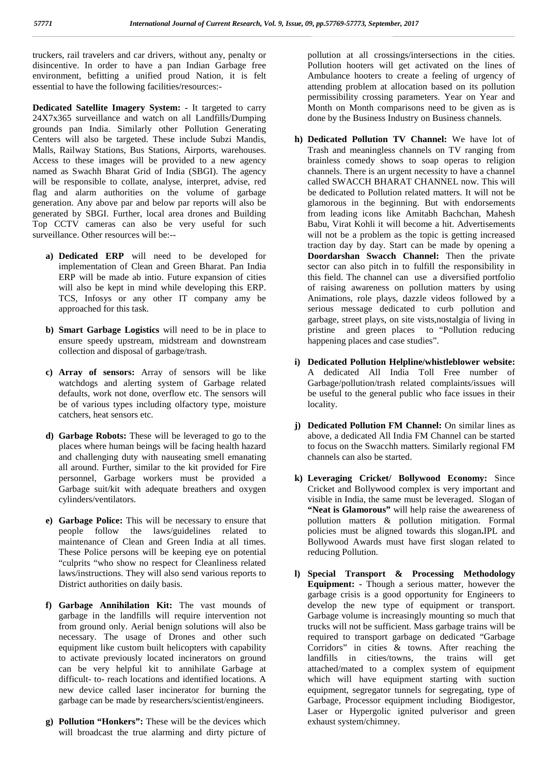truckers, rail travelers and car drivers, without any, penalty or disincentive. In order to have a pan Indian Garbage free environment, befitting a unified proud Nation, it is felt essential to have the following facilities/resources:-

**Dedicated Satellite Imagery System: -** It targeted to carry 24X7x365 surveillance and watch on all Landfills/Dumping grounds pan India. Similarly other Pollution Generating Centers will also be targeted. These include Subzi Mandis, Malls, Railway Stations, Bus Stations, Airports, warehouses. Access to these images will be provided to a new agency named as Swachh Bharat Grid of India (SBGI). The agency will be responsible to collate, analyse, interpret, advise, red flag and alarm authorities on the volume of garbage generation. Any above par and below par reports will also be generated by SBGI. Further, local area drones and Building Top CCTV cameras can also be very useful for such surveillance. Other resources will be:--

- **a) Dedicated ERP** will need to be developed for implementation of Clean and Green Bharat. Pan India ERP will be made ab intio. Future expansion of cities will also be kept in mind while developing this ERP. TCS, Infosys or any other IT company amy be approached for this task.
- **b) Smart Garbage Logistics** will need to be in place to ensure speedy upstream, midstream and downstream collection and disposal of garbage/trash.
- **c) Array of sensors:** Array of sensors will be like watchdogs and alerting system of Garbage related defaults, work not done, overflow etc. The sensors will be of various types including olfactory type, moisture catchers, heat sensors etc.
- **d) Garbage Robots:** These will be leveraged to go to the places where human beings will be facing health hazard and challenging duty with nauseating smell emanating all around. Further, similar to the kit provided for Fire personnel, Garbage workers must be provided a Garbage suit/kit with adequate breathers and oxygen cylinders/ventilators.
- **e) Garbage Police:** This will be necessary to ensure that people follow the laws/guidelines related to maintenance of Clean and Green India at all times. These Police persons will be keeping eye on potential "culprits "who show no respect for Cleanliness related laws/instructions. They will also send various reports to District authorities on daily basis.
- **f) Garbage Annihilation Kit:** The vast mounds of garbage in the landfills will require intervention not from ground only. Aerial benign solutions will also be necessary. The usage of Drones and other such equipment like custom built helicopters with capability to activate previously located incinerators on ground can be very helpful kit to annihilate Garbage at difficult- to- reach locations and identified locations. A new device called laser incinerator for burning the garbage can be made by researchers/scientist/engineers.
- **g) Pollution "Honkers":** These will be the devices which will broadcast the true alarming and dirty picture of

pollution at all crossings/intersections in the cities. Pollution hooters will get activated on the lines of Ambulance hooters to create a feeling of urgency of attending problem at allocation based on its pollution permissibility crossing parameters. Year on Year and Month on Month comparisons need to be given as is done by the Business Industry on Business channels.

- **h) Dedicated Pollution TV Channel:** We have lot of Trash and meaningless channels on TV ranging from brainless comedy shows to soap operas to religion channels. There is an urgent necessity to have a channel called SWACCH BHARAT CHANNEL now. This will be dedicated to Pollution related matters. It will not be glamorous in the beginning. But with endorsements from leading icons like Amitabh Bachchan, Mahesh Babu, Virat Kohli it will become a hit. Advertisements will not be a problem as the topic is getting increased traction day by day. Start can be made by opening a **Doordarshan Swacch Channel:** Then the private sector can also pitch in to fulfill the responsibility in this field. The channel can use a diversified portfolio of raising awareness on pollution matters by using Animations, role plays, dazzle videos followed by a serious message dedicated to curb pollution and garbage, street plays, on site vists,nostalgia of living in pristine and green places to "Pollution reducing happening places and case studies".
- **i) Dedicated Pollution Helpline/whistleblower website:** A dedicated All India Toll Free number of Garbage/pollution/trash related complaints/issues will be useful to the general public who face issues in their locality.
- **j) Dedicated Pollution FM Channel:** On similar lines as above, a dedicated All India FM Channel can be started to focus on the Swacchh matters. Similarly regional FM channels can also be started.
- **k) Leveraging Cricket/ Bollywood Economy:** Since Cricket and Bollywood complex is very important and visible in India, the same must be leveraged. Slogan of **"Neat is Glamorous"** will help raise the aweareness of pollution matters & pollution mitigation. Formal policies must be aligned towards this slogan**.**IPL and Bollywood Awards must have first slogan related to reducing Pollution.
- **l) Special Transport & Processing Methodology Equipment: -** Though a serious matter, however the garbage crisis is a good opportunity for Engineers to develop the new type of equipment or transport. Garbage volume is increasingly mounting so much that trucks will not be sufficient. Mass garbage trains will be required to transport garbage on dedicated "Garbage Corridors" in cities & towns. After reaching the landfills in cities/towns, the trains will get attached/mated to a complex system of equipment which will have equipment starting with suction equipment, segregator tunnels for segregating, type of Garbage, Processor equipment including Biodigestor, Laser or Hypergolic ignited pulverisor and green exhaust system/chimney.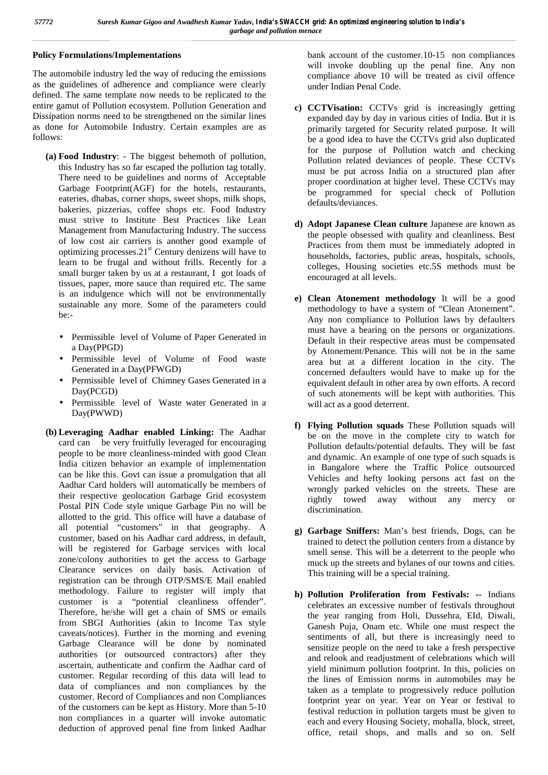### **Policy Formulations/Implementations**

The automobile industry led the way of reducing the emissions as the guidelines of adherence and compliance were clearly defined. The same template now needs to be replicated to the entire gamut of Pollution ecosystem. Pollution Generation and Dissipation norms need to be strengthened on the similar lines as done for Automobile Industry. Certain examples are as follows:

- **(a) Food Industry**: The biggest behemoth of pollution, this Industry has so far escaped the pollution tag totally. There need to be guidelines and norms of Acceptable Garbage Footprint(AGF) for the hotels, restaurants, eateries, dhabas, corner shops, sweet shops, milk shops, bakeries, pizzerias, coffee shops etc. Food Industry must strive to Institute Best Practices like Lean Management from Manufacturing Industry. The success of low cost air carriers is another good example of optimizing processes.21<sup>st</sup> Century denizens will have to learn to be frugal and without frills. Recently for a small burger taken by us at a restaurant, I got loads of tissues, paper, more sauce than required etc. The same is an indulgence which will not be environmentally sustainable any more. Some of the parameters could be:-
	- Permissible level of Volume of Paper Generated in a Day(PPGD)
	- Permissible level of Volume of Food waste Generated in a Day(PFWGD)
	- Permissible level of Chimney Gases Generated in a Day(PCGD)
	- Permissible level of Waste water Generated in a Day(PWWD)
- **(b) Leveraging Aadhar enabled Linking:** The Aadhar card can be very fruitfully leveraged for encouraging people to be more cleanliness-minded with good Clean India citizen behavior an example of implementation can be like this. Govt can issue a promulgation that all Aadhar Card holders will automatically be members of their respective geolocation Garbage Grid ecosystem Postal PIN Code style unique Garbage Pin no will be allotted to the grid. This office will have a database of all potential "customers" in that geography. A customer, based on his Aadhar card address, in default, will be registered for Garbage services with local zone/colony authorities to get the access to Garbage Clearance services on daily basis. Activation of registration can be through OTP/SMS/E Mail enabled methodology. Failure to register will imply that customer is a "potential cleanliness offender". Therefore, he/she will get a chain of SMS or emails from SBGI Authorities (akin to Income Tax style caveats/notices). Further in the morning and evening Garbage Clearance will be done by nominated authorities (or outsourced contractors) after they ascertain, authenticate and confirm the Aadhar card of customer. Regular recording of this data will lead to data of compliances and non compliances by the customer. Record of Compliances and non Compliances of the customers can be kept as History. More than 5-10 non compliances in a quarter will invoke automatic deduction of approved penal fine from linked Aadhar

bank account of the customer.10-15 non compliances will invoke doubling up the penal fine. Any non compliance above 10 will be treated as civil offence under Indian Penal Code.

- **c) CCTVisation:** CCTVs grid is increasingly getting expanded day by day in various cities of India. But it is primarily targeted for Security related purpose. It will be a good idea to have the CCTVs grid also duplicated for the purpose of Pollution watch and checking Pollution related deviances of people. These CCTVs must be put across India on a structured plan after proper coordination at higher level. These CCTVs may be programmed for special check of Pollution defaults/deviances.
- **d) Adopt Japanese Clean culture** Japanese are known as the people obsessed with quality and cleanliness. Best Practices from them must be immediately adopted in households, factories, public areas, hospitals, schools, colleges, Housing societies etc.5S methods must be encouraged at all levels.
- **e) Clean Atonement methodology** It will be a good methodology to have a system of "Clean Atonement". Any non compliance to Pollution laws by defaulters must have a bearing on the persons or organizations. Default in their respective areas must be compensated by Atonement/Penance. This will not be in the same area but at a different location in the city. The concerned defaulters would have to make up for the equivalent default in other area by own efforts. A record of such atonements will be kept with authorities. This will act as a good deterrent.
- **f) Flying Pollution squads** These Pollution squads will be on the move in the complete city to watch for Pollution defaults/potential defaults. They will be fast and dynamic. An example of one type of such squads is in Bangalore where the Traffic Police outsourced Vehicles and hefty looking persons act fast on the wrongly parked vehicles on the streets. These are rightly towed away without any mercy or discrimination.
- **g) Garbage Sniffers:** Man's best friends, Dogs, can be trained to detect the pollution centers from a distance by smell sense. This will be a deterrent to the people who muck up the streets and bylanes of our towns and cities. This training will be a special training.
- **h) Pollution Proliferation from Festivals: --** Indians celebrates an excessive number of festivals throughout the year ranging from Holi, Dussehra, EId, Diwali, Ganesh Puja, Onam etc. While one must respect the sentiments of all, but there is increasingly need to sensitize people on the need to take a fresh perspective and relook and readjustment of celebrations which will yield minimum pollution footprint. In this, policies on the lines of Emission norms in automobiles may be taken as a template to progressively reduce pollution footprint year on year. Year on Year or festival to festival reduction in pollution targets must be given to each and every Housing Society, mohalla, block, street, office, retail shops, and malls and so on. Self